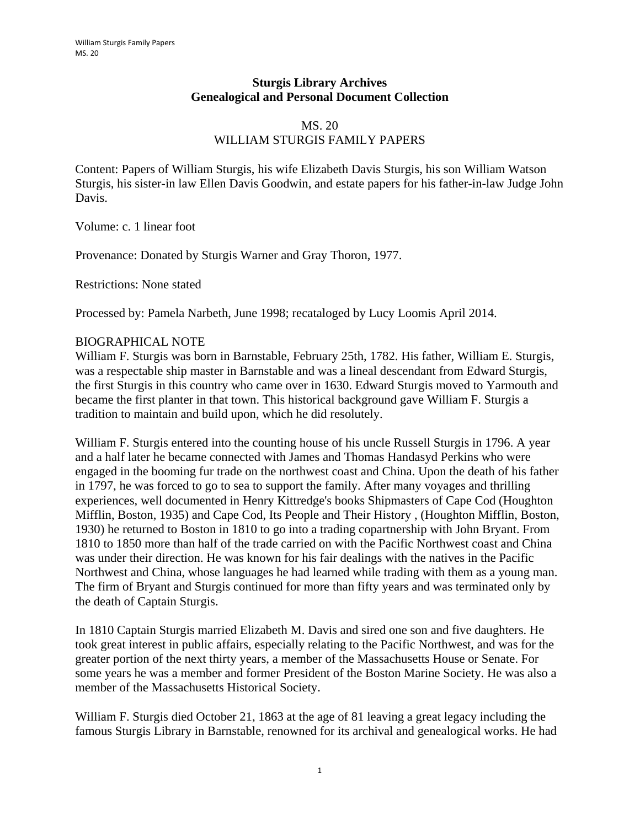#### **Sturgis Library Archives Genealogical and Personal Document Collection**

#### MS. 20 WILLIAM STURGIS FAMILY PAPERS

Content: Papers of William Sturgis, his wife Elizabeth Davis Sturgis, his son William Watson Sturgis, his sister-in law Ellen Davis Goodwin, and estate papers for his father-in-law Judge John Davis.

Volume: c. 1 linear foot

Provenance: Donated by Sturgis Warner and Gray Thoron, 1977.

Restrictions: None stated

Processed by: Pamela Narbeth, June 1998; recataloged by Lucy Loomis April 2014.

#### BIOGRAPHICAL NOTE

William F. Sturgis was born in Barnstable, February 25th, 1782. His father, William E. Sturgis, was a respectable ship master in Barnstable and was a lineal descendant from Edward Sturgis, the first Sturgis in this country who came over in 1630. Edward Sturgis moved to Yarmouth and became the first planter in that town. This historical background gave William F. Sturgis a tradition to maintain and build upon, which he did resolutely.

William F. Sturgis entered into the counting house of his uncle Russell Sturgis in 1796. A year and a half later he became connected with James and Thomas Handasyd Perkins who were engaged in the booming fur trade on the northwest coast and China. Upon the death of his father in 1797, he was forced to go to sea to support the family. After many voyages and thrilling experiences, well documented in Henry Kittredge's books Shipmasters of Cape Cod (Houghton Mifflin, Boston, 1935) and Cape Cod, Its People and Their History , (Houghton Mifflin, Boston, 1930) he returned to Boston in 1810 to go into a trading copartnership with John Bryant. From 1810 to 1850 more than half of the trade carried on with the Pacific Northwest coast and China was under their direction. He was known for his fair dealings with the natives in the Pacific Northwest and China, whose languages he had learned while trading with them as a young man. The firm of Bryant and Sturgis continued for more than fifty years and was terminated only by the death of Captain Sturgis.

In 1810 Captain Sturgis married Elizabeth M. Davis and sired one son and five daughters. He took great interest in public affairs, especially relating to the Pacific Northwest, and was for the greater portion of the next thirty years, a member of the Massachusetts House or Senate. For some years he was a member and former President of the Boston Marine Society. He was also a member of the Massachusetts Historical Society.

William F. Sturgis died October 21, 1863 at the age of 81 leaving a great legacy including the famous Sturgis Library in Barnstable, renowned for its archival and genealogical works. He had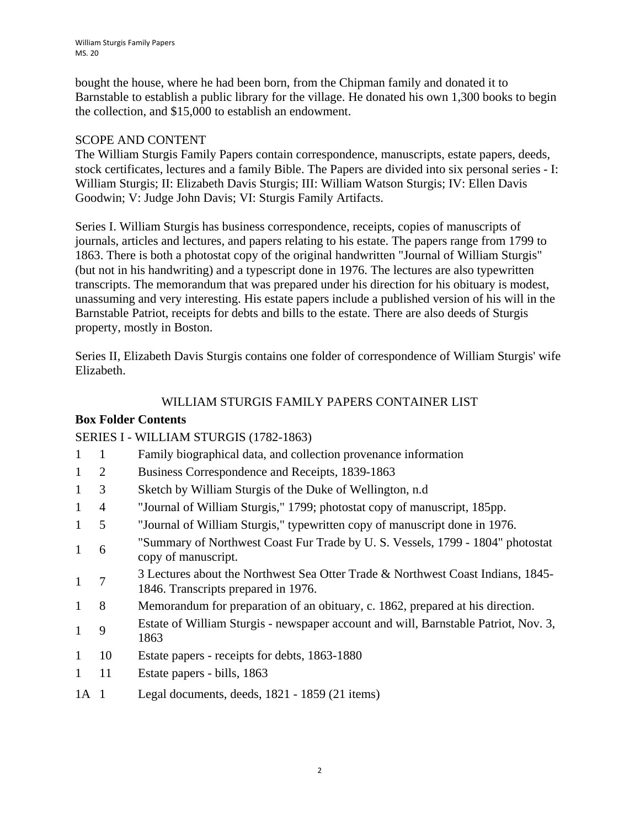bought the house, where he had been born, from the Chipman family and donated it to Barnstable to establish a public library for the village. He donated his own 1,300 books to begin the collection, and \$15,000 to establish an endowment.

### SCOPE AND CONTENT

The William Sturgis Family Papers contain correspondence, manuscripts, estate papers, deeds, stock certificates, lectures and a family Bible. The Papers are divided into six personal series - I: William Sturgis; II: Elizabeth Davis Sturgis; III: William Watson Sturgis; IV: Ellen Davis Goodwin; V: Judge John Davis; VI: Sturgis Family Artifacts.

Series I. William Sturgis has business correspondence, receipts, copies of manuscripts of journals, articles and lectures, and papers relating to his estate. The papers range from 1799 to 1863. There is both a photostat copy of the original handwritten "Journal of William Sturgis" (but not in his handwriting) and a typescript done in 1976. The lectures are also typewritten transcripts. The memorandum that was prepared under his direction for his obituary is modest, unassuming and very interesting. His estate papers include a published version of his will in the Barnstable Patriot, receipts for debts and bills to the estate. There are also deeds of Sturgis property, mostly in Boston.

Series II, Elizabeth Davis Sturgis contains one folder of correspondence of William Sturgis' wife Elizabeth.

## WILLIAM STURGIS FAMILY PAPERS CONTAINER LIST

### **Box Folder Contents**

### SERIES I - WILLIAM STURGIS (1782-1863)

- 1 1 Family biographical data, and collection provenance information
- 1 2 Business Correspondence and Receipts, 1839-1863
- 1 3 Sketch by William Sturgis of the Duke of Wellington, n.d
- 1 4 "Journal of William Sturgis," 1799; photostat copy of manuscript, 185pp.
- 1 5 "Journal of William Sturgis," typewritten copy of manuscript done in 1976.
- 1 6 "Summary of Northwest Coast Fur Trade by U. S. Vessels, 1799 1804" photostat copy of manuscript.
- <sup>1</sup> <sup>7</sup> <sup>3</sup> Lectures about the Northwest Sea Otter Trade & Northwest Coast Indians, 1845-1846. Transcripts prepared in 1976.
- 1 8 Memorandum for preparation of an obituary, c. 1862, prepared at his direction.
- 1 9 Estate of William Sturgis newspaper account and will, Barnstable Patriot, Nov. 3, 1863
- 1 10 Estate papers receipts for debts, 1863-1880
- 1 11 Estate papers bills, 1863
- 1A 1 Legal documents, deeds, 1821 1859 (21 items)